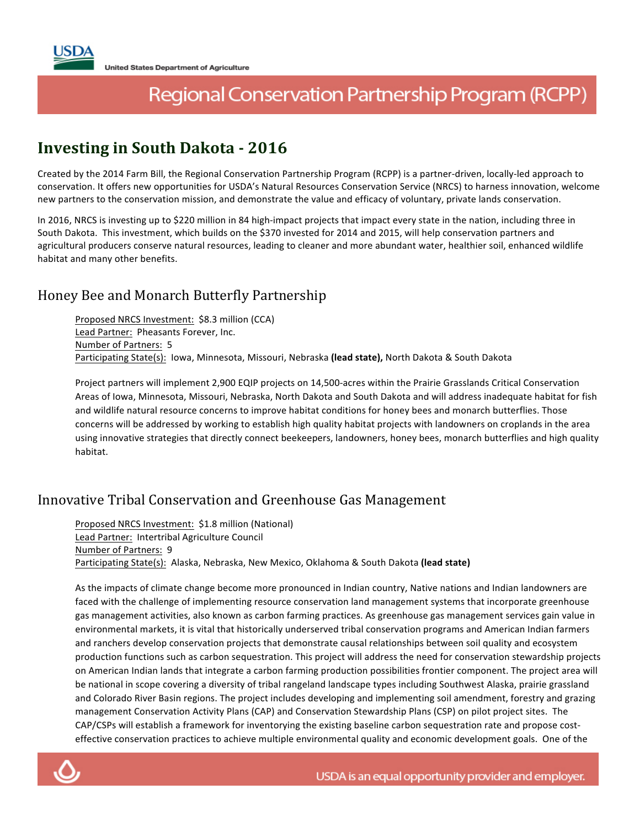# Regional Conservation Partnership Program (RCPP)

## **Investing in South Dakota - 2016**

Created by the 2014 Farm Bill, the Regional Conservation Partnership Program (RCPP) is a partner-driven, locally-led approach to conservation. It offers new opportunities for USDA's Natural Resources Conservation Service (NRCS) to harness innovation, welcome new partners to the conservation mission, and demonstrate the value and efficacy of voluntary, private lands conservation.

In 2016, NRCS is investing up to \$220 million in 84 high-impact projects that impact every state in the nation, including three in South Dakota. This investment, which builds on the \$370 invested for 2014 and 2015, will help conservation partners and agricultural producers conserve natural resources, leading to cleaner and more abundant water, healthier soil, enhanced wildlife habitat and many other benefits.

### Honey Bee and Monarch Butterfly Partnership

Proposed NRCS Investment: \$8.3 million (CCA) Lead Partner: Pheasants Forever, Inc. Number of Partners: 5 Participating State(s): lowa, Minnesota, Missouri, Nebraska (lead state), North Dakota & South Dakota

Project partners will implement 2,900 EQIP projects on 14,500-acres within the Prairie Grasslands Critical Conservation Areas of Iowa, Minnesota, Missouri, Nebraska, North Dakota and South Dakota and will address inadequate habitat for fish and wildlife natural resource concerns to improve habitat conditions for honey bees and monarch butterflies. Those concerns will be addressed by working to establish high quality habitat projects with landowners on croplands in the area using innovative strategies that directly connect beekeepers, landowners, honey bees, monarch butterflies and high quality habitat.

#### Innovative Tribal Conservation and Greenhouse Gas Management

Proposed NRCS Investment: \$1.8 million (National) Lead Partner: Intertribal Agriculture Council Number of Partners: 9 Participating State(s): Alaska, Nebraska, New Mexico, Oklahoma & South Dakota (lead state)

As the impacts of climate change become more pronounced in Indian country, Native nations and Indian landowners are faced with the challenge of implementing resource conservation land management systems that incorporate greenhouse gas management activities, also known as carbon farming practices. As greenhouse gas management services gain value in environmental markets, it is vital that historically underserved tribal conservation programs and American Indian farmers and ranchers develop conservation projects that demonstrate causal relationships between soil quality and ecosystem production functions such as carbon sequestration. This project will address the need for conservation stewardship projects on American Indian lands that integrate a carbon farming production possibilities frontier component. The project area will be national in scope covering a diversity of tribal rangeland landscape types including Southwest Alaska, prairie grassland and Colorado River Basin regions. The project includes developing and implementing soil amendment, forestry and grazing management Conservation Activity Plans (CAP) and Conservation Stewardship Plans (CSP) on pilot project sites. The CAP/CSPs will establish a framework for inventorying the existing baseline carbon sequestration rate and propose costeffective conservation practices to achieve multiple environmental quality and economic development goals. One of the